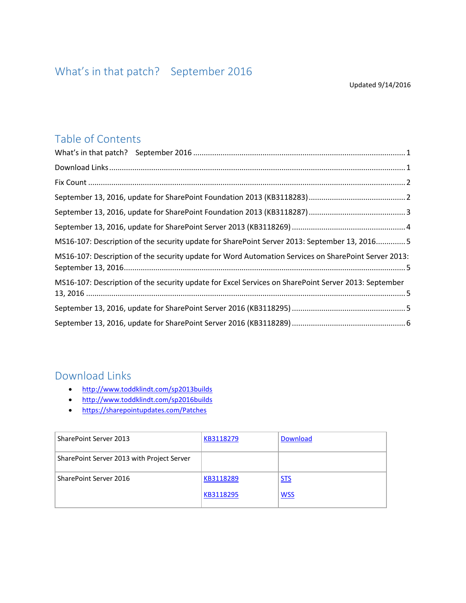### <span id="page-0-0"></span>Table of Contents

| MS16-107: Description of the security update for SharePoint Server 2013: September 13, 20165         |  |
|------------------------------------------------------------------------------------------------------|--|
| MS16-107: Description of the security update for Word Automation Services on SharePoint Server 2013: |  |
| MS16-107: Description of the security update for Excel Services on SharePoint Server 2013: September |  |
|                                                                                                      |  |
|                                                                                                      |  |

#### <span id="page-0-1"></span>Download Links

- <http://www.toddklindt.com/sp2013builds>
- <http://www.toddklindt.com/sp2016builds>
- <https://sharepointupdates.com/Patches>

| SharePoint Server 2013                     | KB3118279 | <b>Download</b> |
|--------------------------------------------|-----------|-----------------|
| SharePoint Server 2013 with Project Server |           |                 |
| SharePoint Server 2016                     | KB3118289 | <b>STS</b>      |
|                                            | KB3118295 | <b>WSS</b>      |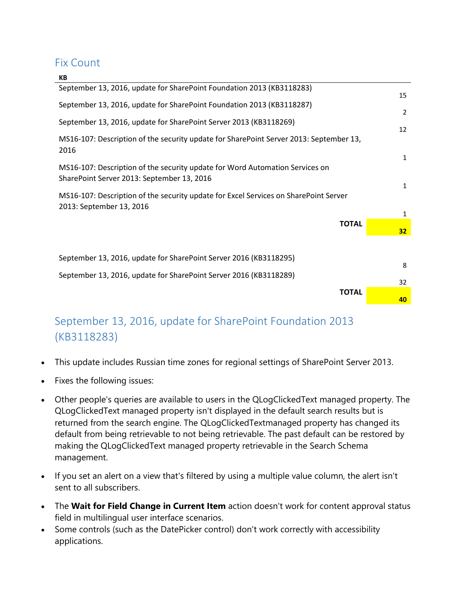#### <span id="page-1-0"></span>Fix Count

| KB                                                                                                                         |                              |
|----------------------------------------------------------------------------------------------------------------------------|------------------------------|
| September 13, 2016, update for SharePoint Foundation 2013 (KB3118283)                                                      | 15                           |
| September 13, 2016, update for SharePoint Foundation 2013 (KB3118287)                                                      | $\overline{2}$               |
| September 13, 2016, update for SharePoint Server 2013 (KB3118269)                                                          |                              |
| MS16-107: Description of the security update for SharePoint Server 2013: September 13,<br>2016                             | 12                           |
| MS16-107: Description of the security update for Word Automation Services on<br>SharePoint Server 2013: September 13, 2016 | $\mathbf{1}$<br>$\mathbf{1}$ |
| MS16-107: Description of the security update for Excel Services on SharePoint Server<br>2013: September 13, 2016           | 1                            |
| <b>TOTAL</b>                                                                                                               | 32 <sub>2</sub>              |
| September 13, 2016, update for SharePoint Server 2016 (KB3118295)                                                          |                              |
| September 13, 2016, update for SharePoint Server 2016 (KB3118289)                                                          | 8                            |
| <b>TOTAL</b>                                                                                                               | 32                           |
|                                                                                                                            | 40                           |

## <span id="page-1-1"></span>September 13, 2016, update for SharePoint Foundation 2013 (KB3118283)

- This update includes Russian time zones for regional settings of SharePoint Server 2013.
- Fixes the following issues:
- Other people's queries are available to users in the QLogClickedText managed property. The QLogClickedText managed property isn't displayed in the default search results but is returned from the search engine. The QLogClickedTextmanaged property has changed its default from being retrievable to not being retrievable. The past default can be restored by making the QLogClickedText managed property retrievable in the Search Schema management.
- If you set an alert on a view that's filtered by using a multiple value column, the alert isn't sent to all subscribers.
- The **Wait for Field Change in Current Item** action doesn't work for content approval status field in multilingual user interface scenarios.
- Some controls (such as the DatePicker control) don't work correctly with accessibility applications.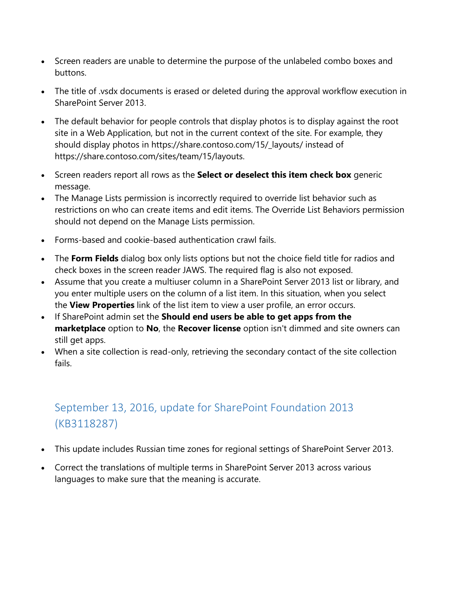- Screen readers are unable to determine the purpose of the unlabeled combo boxes and buttons.
- The title of .vsdx documents is erased or deleted during the approval workflow execution in SharePoint Server 2013.
- The default behavior for people controls that display photos is to display against the root site in a Web Application, but not in the current context of the site. For example, they should display photos in https://share.contoso.com/15/\_layouts/ instead of https://share.contoso.com/sites/team/15/layouts.
- Screen readers report all rows as the **Select or deselect this item check box** generic message.
- The Manage Lists permission is incorrectly required to override list behavior such as restrictions on who can create items and edit items. The Override List Behaviors permission should not depend on the Manage Lists permission.
- Forms-based and cookie-based authentication crawl fails.
- The **Form Fields** dialog box only lists options but not the choice field title for radios and check boxes in the screen reader JAWS. The required flag is also not exposed.
- Assume that you create a multiuser column in a SharePoint Server 2013 list or library, and you enter multiple users on the column of a list item. In this situation, when you select the **View Properties** link of the list item to view a user profile, an error occurs.
- If SharePoint admin set the **Should end users be able to get apps from the marketplace** option to **No**, the **Recover license** option isn't dimmed and site owners can still get apps.
- When a site collection is read-only, retrieving the secondary contact of the site collection fails.

# <span id="page-2-0"></span>September 13, 2016, update for SharePoint Foundation 2013 (KB3118287)

- This update includes Russian time zones for regional settings of SharePoint Server 2013.
- Correct the translations of multiple terms in SharePoint Server 2013 across various languages to make sure that the meaning is accurate.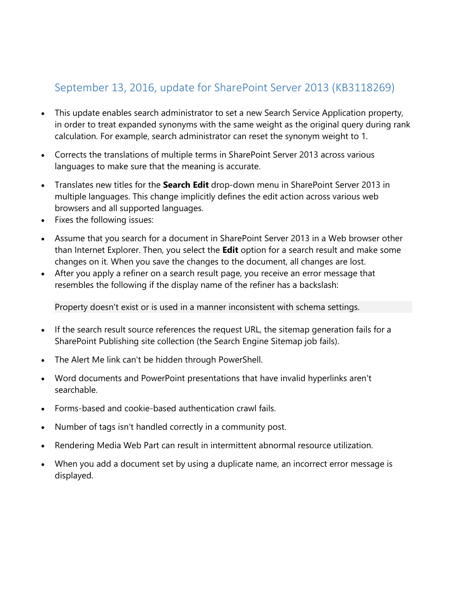### <span id="page-3-0"></span>September 13, 2016, update for SharePoint Server 2013 (KB3118269)

- This update enables search administrator to set a new Search Service Application property, in order to treat expanded synonyms with the same weight as the original query during rank calculation. For example, search administrator can reset the synonym weight to 1.
- Corrects the translations of multiple terms in SharePoint Server 2013 across various languages to make sure that the meaning is accurate.
- Translates new titles for the **Search Edit** drop-down menu in SharePoint Server 2013 in multiple languages. This change implicitly defines the edit action across various web browsers and all supported languages.
- Fixes the following issues:
- Assume that you search for a document in SharePoint Server 2013 in a Web browser other than Internet Explorer. Then, you select the **Edit** option for a search result and make some changes on it. When you save the changes to the document, all changes are lost.
- After you apply a refiner on a search result page, you receive an error message that resembles the following if the display name of the refiner has a backslash:

Property doesn't exist or is used in a manner inconsistent with schema settings.

- If the search result source references the request URL, the sitemap generation fails for a SharePoint Publishing site collection (the Search Engine Sitemap job fails).
- The Alert Me link can't be hidden through PowerShell.
- Word documents and PowerPoint presentations that have invalid hyperlinks aren't searchable.
- Forms-based and cookie-based authentication crawl fails.
- Number of tags isn't handled correctly in a community post.
- Rendering Media Web Part can result in intermittent abnormal resource utilization.
- When you add a document set by using a duplicate name, an incorrect error message is displayed.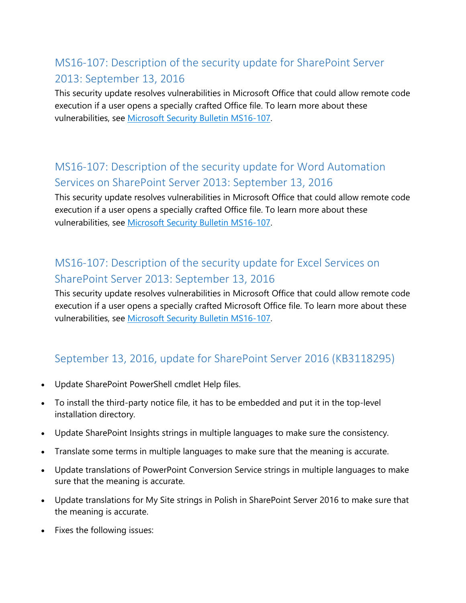## <span id="page-4-0"></span>MS16-107: Description of the security update for SharePoint Server 2013: September 13, 2016

This security update resolves vulnerabilities in Microsoft Office that could allow remote code execution if a user opens a specially crafted Office file. To learn more about these vulnerabilities, see [Microsoft Security Bulletin MS16-107.](https://technet.microsoft.com/library/security/MS16-107)

### <span id="page-4-1"></span>MS16-107: Description of the security update for Word Automation Services on SharePoint Server 2013: September 13, 2016

This security update resolves vulnerabilities in Microsoft Office that could allow remote code execution if a user opens a specially crafted Office file. To learn more about these vulnerabilities, see [Microsoft Security Bulletin MS16-107.](https://technet.microsoft.com/library/security/MS16-107)

### <span id="page-4-2"></span>MS16-107: Description of the security update for Excel Services on SharePoint Server 2013: September 13, 2016

This security update resolves vulnerabilities in Microsoft Office that could allow remote code execution if a user opens a specially crafted Microsoft Office file. To learn more about these vulnerabilities, see [Microsoft Security Bulletin MS16-107.](https://technet.microsoft.com/library/security/MS16-107)

### <span id="page-4-3"></span>September 13, 2016, update for SharePoint Server 2016 (KB3118295)

- Update SharePoint PowerShell cmdlet Help files.
- To install the third-party notice file, it has to be embedded and put it in the top-level installation directory.
- Update SharePoint Insights strings in multiple languages to make sure the consistency.
- Translate some terms in multiple languages to make sure that the meaning is accurate.
- Update translations of PowerPoint Conversion Service strings in multiple languages to make sure that the meaning is accurate.
- Update translations for My Site strings in Polish in SharePoint Server 2016 to make sure that the meaning is accurate.
- Fixes the following issues: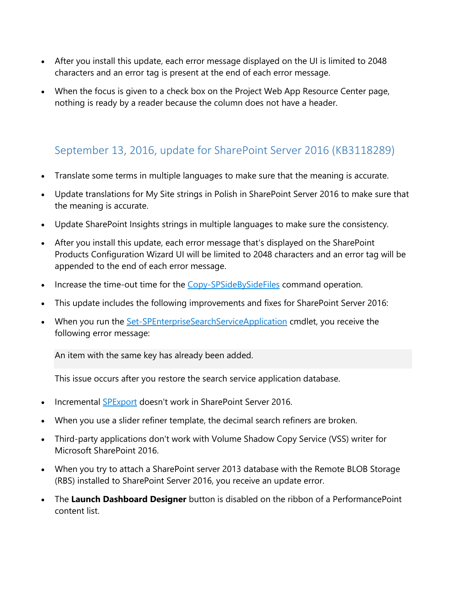- After you install this update, each error message displayed on the UI is limited to 2048 characters and an error tag is present at the end of each error message.
- When the focus is given to a check box on the Project Web App Resource Center page, nothing is ready by a reader because the column does not have a header.

#### <span id="page-5-0"></span>September 13, 2016, update for SharePoint Server 2016 (KB3118289)

- Translate some terms in multiple languages to make sure that the meaning is accurate.
- Update translations for My Site strings in Polish in SharePoint Server 2016 to make sure that the meaning is accurate.
- Update SharePoint Insights strings in multiple languages to make sure the consistency.
- After you install this update, each error message that's displayed on the SharePoint Products Configuration Wizard UI will be limited to 2048 characters and an error tag will be appended to the end of each error message.
- Increase the time-out time for the [Copy-SPSideBySideFiles](https://technet.microsoft.com/library/mt604696(v=office.16).aspx) command operation.
- This update includes the following improvements and fixes for SharePoint Server 2016:
- When you run the **[Set-SPEnterpriseSearchServiceApplication](https://technet.microsoft.com/en-in/library/ff607974(v=office.16).aspx)** cmdlet, you receive the following error message:

An item with the same key has already been added.

This issue occurs after you restore the search service application database.

- Incremental [SPExport](https://msdn.microsoft.com/fr-fr/library/microsoft.sharepoint.deployment.spexport(v=office.15).aspx) doesn't work in SharePoint Server 2016.
- When you use a slider refiner template, the decimal search refiners are broken.
- Third-party applications don't work with Volume Shadow Copy Service (VSS) writer for Microsoft SharePoint 2016.
- When you try to attach a SharePoint server 2013 database with the Remote BLOB Storage (RBS) installed to SharePoint Server 2016, you receive an update error.
- The **Launch Dashboard Designer** button is disabled on the ribbon of a PerformancePoint content list.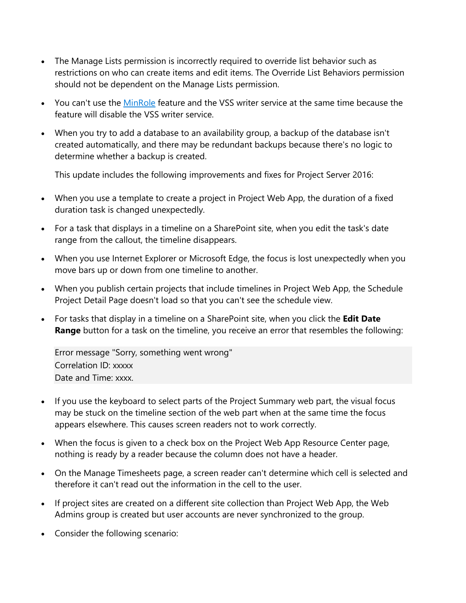- The Manage Lists permission is incorrectly required to override list behavior such as restrictions on who can create items and edit items. The Override List Behaviors permission should not be dependent on the Manage Lists permission.
- You can't use the [MinRole](https://technet.microsoft.com/en-us/library/mt346114(v=office.16).aspx) feature and the VSS writer service at the same time because the feature will disable the VSS writer service.
- When you try to add a database to an availability group, a backup of the database isn't created automatically, and there may be redundant backups because there's no logic to determine whether a backup is created.

This update includes the following improvements and fixes for Project Server 2016:

- When you use a template to create a project in Project Web App, the duration of a fixed duration task is changed unexpectedly.
- For a task that displays in a timeline on a SharePoint site, when you edit the task's date range from the callout, the timeline disappears.
- When you use Internet Explorer or Microsoft Edge, the focus is lost unexpectedly when you move bars up or down from one timeline to another.
- When you publish certain projects that include timelines in Project Web App, the Schedule Project Detail Page doesn't load so that you can't see the schedule view.
- For tasks that display in a timeline on a SharePoint site, when you click the **Edit Date Range** button for a task on the timeline, you receive an error that resembles the following:

Error message "Sorry, something went wrong" Correlation ID: xxxxx Date and Time: xxxx.

- If you use the keyboard to select parts of the Project Summary web part, the visual focus may be stuck on the timeline section of the web part when at the same time the focus appears elsewhere. This causes screen readers not to work correctly.
- When the focus is given to a check box on the Project Web App Resource Center page, nothing is ready by a reader because the column does not have a header.
- On the Manage Timesheets page, a screen reader can't determine which cell is selected and therefore it can't read out the information in the cell to the user.
- If project sites are created on a different site collection than Project Web App, the Web Admins group is created but user accounts are never synchronized to the group.
- Consider the following scenario: